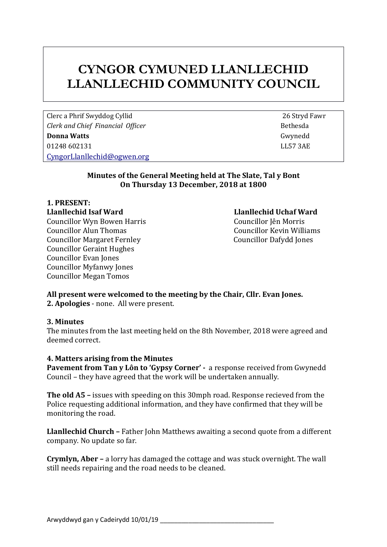### **CYNGOR CYMUNED LLANLLECHID LLANLLECHID COMMUNITY COUNCIL**

Clerc a Phrif Swyddog Cyllid 26 Stryd Fawr *Clerk and Chief Financial Officer* **Bethesda Bethesda Donna Watts** Gwynedd 01248 602131 LL57 3AE [CyngorLlanllechid@ogwen.org](mailto:CyngorLlanllechid@ogwen.org)

#### **Minutes of the General Meeting held at The Slate, Tal y Bont On Thursday 13 December, 2018 at 1800**

## **1. PRESENT:**

Councillor Wyn Bowen Harris Councillor Jên Morris Councillor Alun Thomas Councillor Kevin Williams Councillor Margaret Fernley Councillor Dafydd Jones Councillor Geraint Hughes Councillor Evan Jones Councillor Myfanwy Jones Councillor Megan Tomos

# **Llanllechid Isaf Ward Llanllechid Uchaf Ward**

#### **All present were welcomed to the meeting by the Chair, Cllr. Evan Jones. 2. Apologies** - none. All were present.

#### **3. Minutes**

The minutes from the last meeting held on the 8th November, 2018 were agreed and deemed correct.

#### **4. Matters arising from the Minutes**

**Pavement from Tan y Lôn to 'Gypsy Corner' -** a response received from Gwynedd Council – they have agreed that the work will be undertaken annually.

**The old A5 –** issues with speeding on this 30mph road. Response recieved from the Police requesting additional information, and they have confirmed that they will be monitoring the road.

**Llanllechid Church –** Father John Matthews awaiting a second quote from a different company. No update so far.

**Crymlyn, Aber –** a lorry has damaged the cottage and was stuck overnight. The wall still needs repairing and the road needs to be cleaned.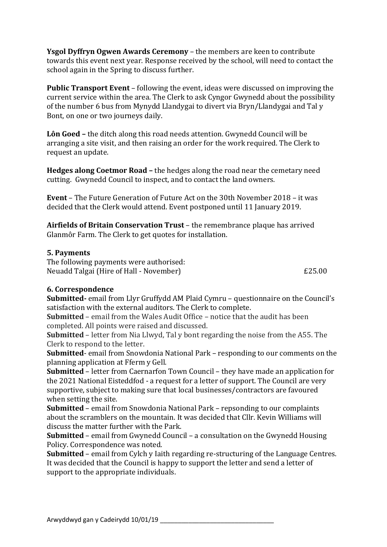**Ysgol Dyffryn Ogwen Awards Ceremony** – the members are keen to contribute towards this event next year. Response received by the school, will need to contact the school again in the Spring to discuss further.

**Public Transport Event** – following the event, ideas were discussed on improving the current service within the area. The Clerk to ask Cyngor Gwynedd about the possibility of the number 6 bus from Mynydd Llandygai to divert via Bryn/Llandygai and Tal y Bont, on one or two journeys daily.

**Lôn Goed –** the ditch along this road needs attention. Gwynedd Council will be arranging a site visit, and then raising an order for the work required. The Clerk to request an update.

**Hedges along Coetmor Road –** the hedges along the road near the cemetary need cutting. Gwynedd Council to inspect, and to contact the land owners.

**Event** – The Future Generation of Future Act on the 30th November 2018 – it was decided that the Clerk would attend. Event postponed until 11 January 2019.

**Airfields of Britain Conservation Trust** – the remembrance plaque has arrived Glanmôr Farm. The Clerk to get quotes for installation.

#### **5. Payments**

The following payments were authorised: Neuadd Talgai (Hire of Hall - November) £25.00

#### **6. Correspondence**

**Submitted-** email from Llyr Gruffydd AM Plaid Cymru – questionnaire on the Council's satisfaction with the external auditors. The Clerk to complete.

**Submitted** – email from the Wales Audit Office – notice that the audit has been completed. All points were raised and discussed.

**Submitted** – letter from Nia Llwyd, Tal y bont regarding the noise from the A55. The Clerk to respond to the letter.

**Submitted**- email from Snowdonia National Park – responding to our comments on the planning application at Fferm y Gell.

**Submitted** – letter from Caernarfon Town Council – they have made an application for the 2021 National Eisteddfod - a request for a letter of support. The Council are very supportive, subject to making sure that local businesses/contractors are favoured when setting the site.

**Submitted** – email from Snowdonia National Park – repsonding to our complaints about the scramblers on the mountain. It was decided that Cllr. Kevin Williams will discuss the matter further with the Park.

**Submitted** – email from Gwynedd Council – a consultation on the Gwynedd Housing Policy. Correspondence was noted.

**Submitted** – email from Cylch y Iaith regarding re-structuring of the Language Centres. It was decided that the Council is happy to support the letter and send a letter of support to the appropriate individuals.